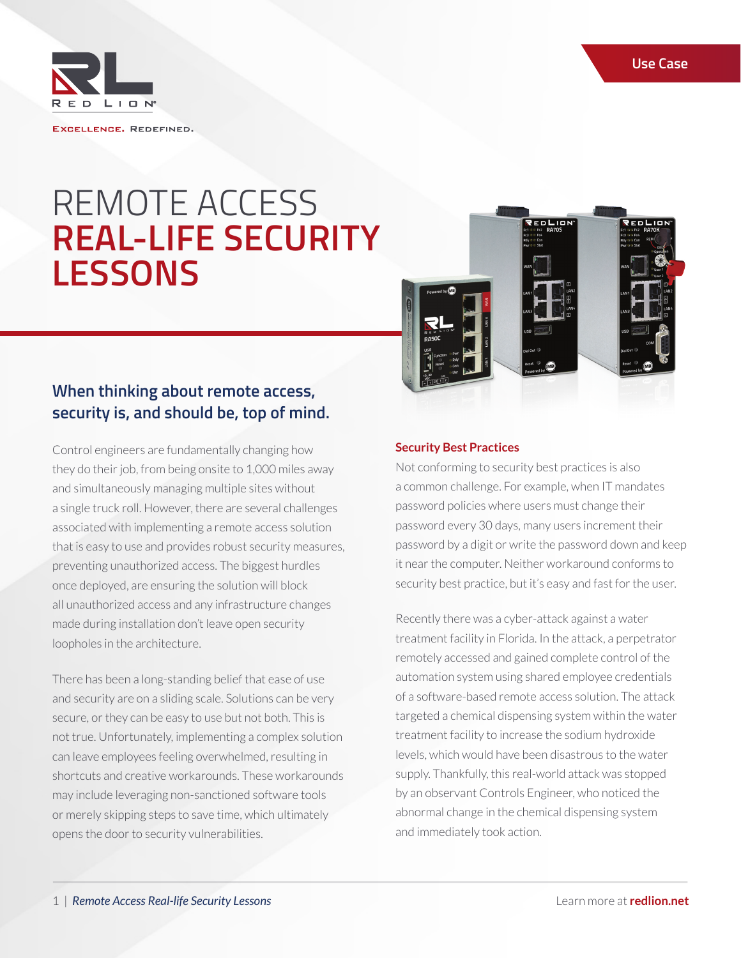

EXCELLENCE, REDEFINED.

# REMOTE ACCESS **REAL-LIFE SECURITY LESSONS**

## **When thinking about remote access, security is, and should be, top of mind.**

Control engineers are fundamentally changing how they do their job, from being onsite to 1,000 miles away and simultaneously managing multiple sites without a single truck roll. However, there are several challenges associated with implementing a remote access solution that is easy to use and provides robust security measures, preventing unauthorized access. The biggest hurdles once deployed, are ensuring the solution will block all unauthorized access and any infrastructure changes made during installation don't leave open security loopholes in the architecture.

There has been a long-standing belief that ease of use and security are on a sliding scale. Solutions can be very secure, or they can be easy to use but not both. This is not true. Unfortunately, implementing a complex solution can leave employees feeling overwhelmed, resulting in shortcuts and creative workarounds. These workarounds may include leveraging non-sanctioned software tools or merely skipping steps to save time, which ultimately opens the door to security vulnerabilities.



#### **Security Best Practices**

Not conforming to security best practices is also a common challenge. For example, when IT mandates password policies where users must change their password every 30 days, many users increment their password by a digit or write the password down and keep it near the computer. Neither workaround conforms to security best practice, but it's easy and fast for the user.

Recently there was a cyber-attack against a water treatment facility in Florida. In the attack, a perpetrator remotely accessed and gained complete control of the automation system using shared employee credentials of a software-based remote access solution. The attack targeted a chemical dispensing system within the water treatment facility to increase the sodium hydroxide levels, which would have been disastrous to the water supply. Thankfully, this real-world attack was stopped by an observant Controls Engineer, who noticed the abnormal change in the chemical dispensing system and immediately took action.